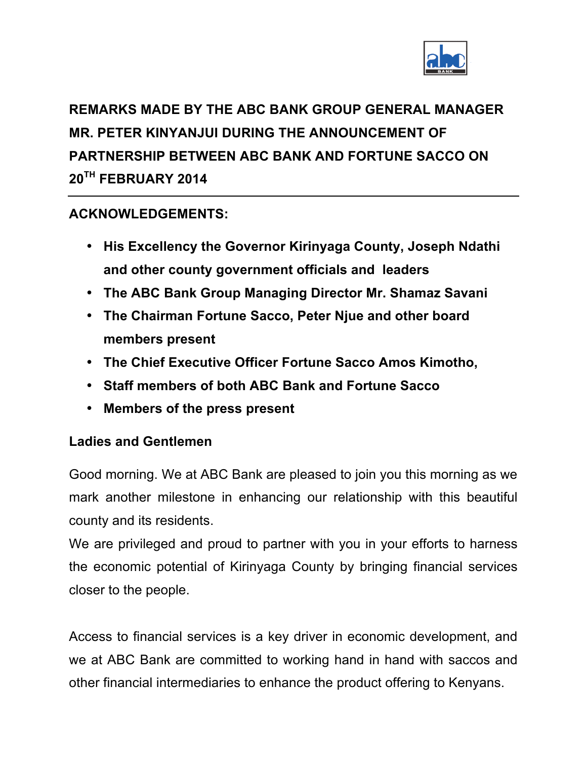

# **REMARKS MADE BY THE ABC BANK GROUP GENERAL MANAGER MR. PETER KINYANJUI DURING THE ANNOUNCEMENT OF PARTNERSHIP BETWEEN ABC BANK AND FORTUNE SACCO ON 20TH FEBRUARY 2014**

# **ACKNOWLEDGEMENTS:**

- **His Excellency the Governor Kirinyaga County, Joseph Ndathi and other county government officials and leaders**
- **The ABC Bank Group Managing Director Mr. Shamaz Savani**
- **The Chairman Fortune Sacco, Peter Njue and other board members present**
- **The Chief Executive Officer Fortune Sacco Amos Kimotho,**
- **Staff members of both ABC Bank and Fortune Sacco**
- **Members of the press present**

# **Ladies and Gentlemen**

Good morning. We at ABC Bank are pleased to join you this morning as we mark another milestone in enhancing our relationship with this beautiful county and its residents.

We are privileged and proud to partner with you in your efforts to harness the economic potential of Kirinyaga County by bringing financial services closer to the people.

Access to financial services is a key driver in economic development, and we at ABC Bank are committed to working hand in hand with saccos and other financial intermediaries to enhance the product offering to Kenyans.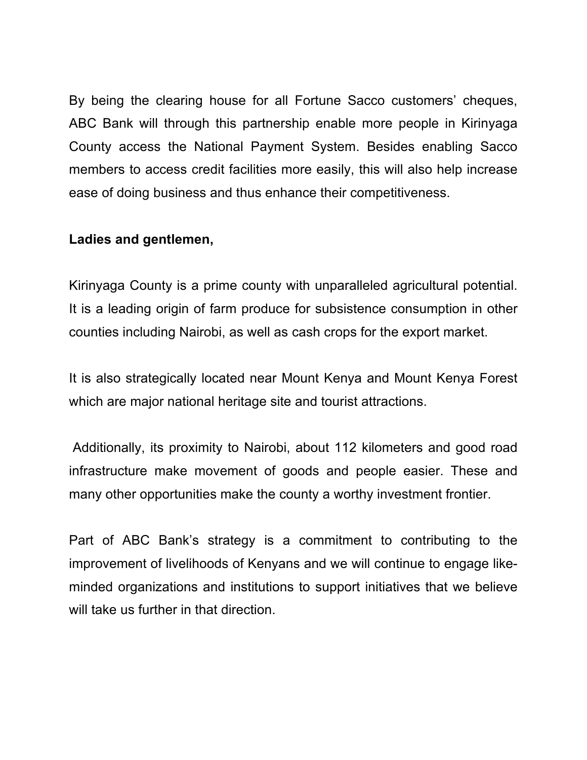By being the clearing house for all Fortune Sacco customers' cheques, ABC Bank will through this partnership enable more people in Kirinyaga County access the National Payment System. Besides enabling Sacco members to access credit facilities more easily, this will also help increase ease of doing business and thus enhance their competitiveness.

### **Ladies and gentlemen,**

Kirinyaga County is a prime county with unparalleled agricultural potential. It is a leading origin of farm produce for subsistence consumption in other counties including Nairobi, as well as cash crops for the export market.

It is also strategically located near Mount Kenya and Mount Kenya Forest which are major national heritage site and tourist attractions.

Additionally, its proximity to Nairobi, about 112 kilometers and good road infrastructure make movement of goods and people easier. These and many other opportunities make the county a worthy investment frontier.

Part of ABC Bank's strategy is a commitment to contributing to the improvement of livelihoods of Kenyans and we will continue to engage likeminded organizations and institutions to support initiatives that we believe will take us further in that direction.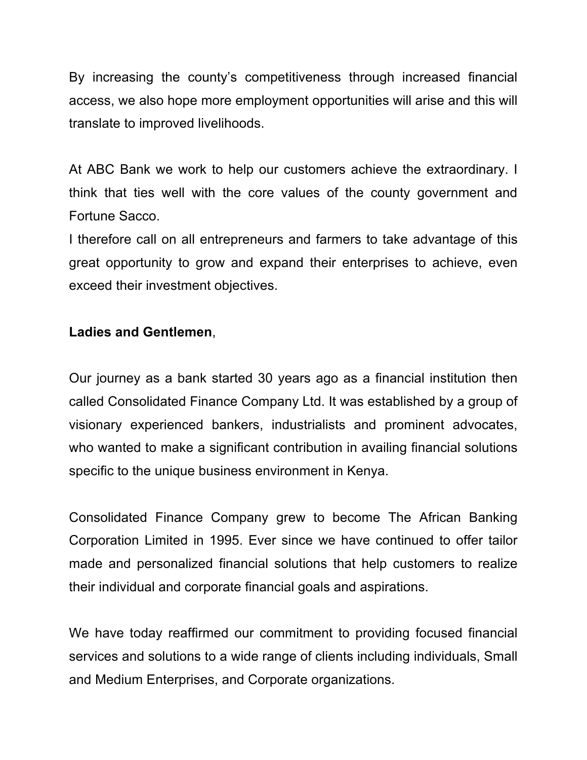By increasing the county's competitiveness through increased financial access, we also hope more employment opportunities will arise and this will translate to improved livelihoods.

At ABC Bank we work to help our customers achieve the extraordinary. I think that ties well with the core values of the county government and Fortune Sacco.

I therefore call on all entrepreneurs and farmers to take advantage of this great opportunity to grow and expand their enterprises to achieve, even exceed their investment objectives.

# **Ladies and Gentlemen**,

Our journey as a bank started 30 years ago as a financial institution then called Consolidated Finance Company Ltd. It was established by a group of visionary experienced bankers, industrialists and prominent advocates, who wanted to make a significant contribution in availing financial solutions specific to the unique business environment in Kenya.

Consolidated Finance Company grew to become The African Banking Corporation Limited in 1995. Ever since we have continued to offer tailor made and personalized financial solutions that help customers to realize their individual and corporate financial goals and aspirations.

We have today reaffirmed our commitment to providing focused financial services and solutions to a wide range of clients including individuals, Small and Medium Enterprises, and Corporate organizations.